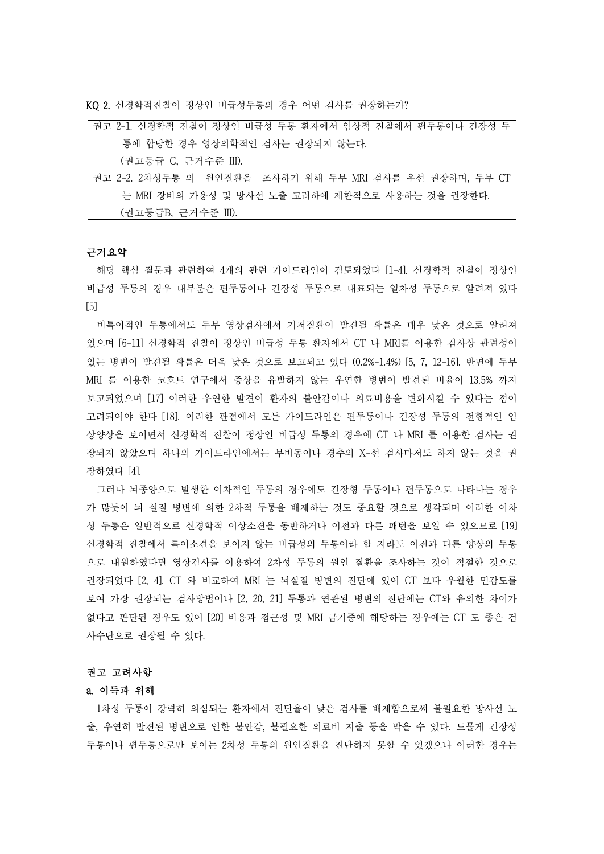KQ 2. 신경학적진찰이 정상인 비급성두통의 경우 어떤 검사를 권장하는가?

| 권고 2-1. 신경학적 진찰이 정상인 비급성 두통 환자에서 임상적 진찰에서 편두통이나 긴장성 두   |
|---------------------------------------------------------|
| 통에 합당한 경우 영상의학적인 검사는 권장되지 않는다.                          |
| (권고등급 C, 근거수준 III).                                     |
| 권고 2-2. 2차성두통 의 원인질환을 조사하기 위해 두부 MRI 검사를 우선 권장하며, 두부 CT |
| 는 MRI 장비의 가용성 및 방사선 노출 고려하에 제한적으로 사용하는 것을 권장한다.         |

(권고등급B, 근거수준 III).

#### 근거요약

해당 핵심 질문과 관련하여 4개의 관련 가이드라인이 검토되었다 [1-4]. 신경학적 진찰이 정상인 비급성 두통의 경우 대부분은 편두통이나 긴장성 두통으로 대표되는 일차성 두통으로 알려져 있다 [5]

비특이적인 두통에서도 두부 영상검사에서 기저질환이 발견될 확률은 매우 낮은 것으로 알려져 있으며 [6-11] 신경학적 진찰이 정상인 비급성 두통 환자에서 CT 나 MRI를 이용한 검사상 관련성이 있는 병변이 발견될 확률은 더욱 낮은 것으로 보고되고 있다 (0.2%-1.4%) [5, 7, 12-16]. 반면에 두부 MRI 를 이용한 코호트 연구에서 증상을 유발하지 않는 우연한 병변이 발견된 비율이 13.5% 까지 보고되었으며 [17] 이러한 우연한 발견이 환자의 불안감이나 의료비용을 변화시킬 수 있다는 점이 고려되어야 한다 [18]. 이러한 관점에서 모든 가이드라인은 편두통이나 긴장성 두통의 전형적인 임 상양상을 보이면서 신경학적 진찰이 정상인 비급성 두통의 경우에 CT 나 MRI 를 이용한 검사는 권 장되지 않았으며 하나의 가이드라인에서는 부비동이나 경추의 X-선 검사마저도 하지 않는 것을 권 장하였다 [4].

그러나 뇌종양으로 발생한 이차적인 두통의 경우에도 긴장형 두통이나 편두통으로 나타나는 경우 가 많듯이 뇌 실질 병변에 의한 2차적 두통을 배제하는 것도 중요할 것으로 생각되며 이러한 이차 성 두통은 일반적으로 신경학적 이상소견을 동반하거나 이전과 다른 패턴을 보일 수 있으므로 [19] 신경학적 진찰에서 특이소견을 보이지 않는 비급성의 두통이라 할 지라도 이전과 다른 양상의 두통 으로 내원하였다면 영상검사를 이용하여 2차성 두통의 원인 질환을 조사하는 것이 적절한 것으로 권장되었다 [2, 4]. CT 와 비교하여 MRI 는 뇌실질 병변의 진단에 있어 CT 보다 우월한 민감도를 보여 가장 권장되는 검사방법이나 [2, 20, 21] 두통과 연관된 병변의 진단에는 CT와 유의한 차이가 없다고 판단된 경우도 있어 [20] 비용과 접근성 및 MRI 금기증에 해당하는 경우에는 CT 도 좋은 검 사수단으로 권장될 수 있다.<br>**권고 고려사항**<br>**권고 고려사항** 

### a. 이득과 위해

1차성 두통이 강력히 의심되는 환자에서 진단율이 낮은 검사를 배제함으로써 불필요한 방사선 노 출, 우연히 발견된 병변으로 인한 불안감, 불필요한 의료비 지출 등을 막을 수 있다. 드물게 긴장성 두통이나 편두통으로만 보이는 2차성 두통의 원인질환을 진단하지 못할 수 있겠으나 이러한 경우는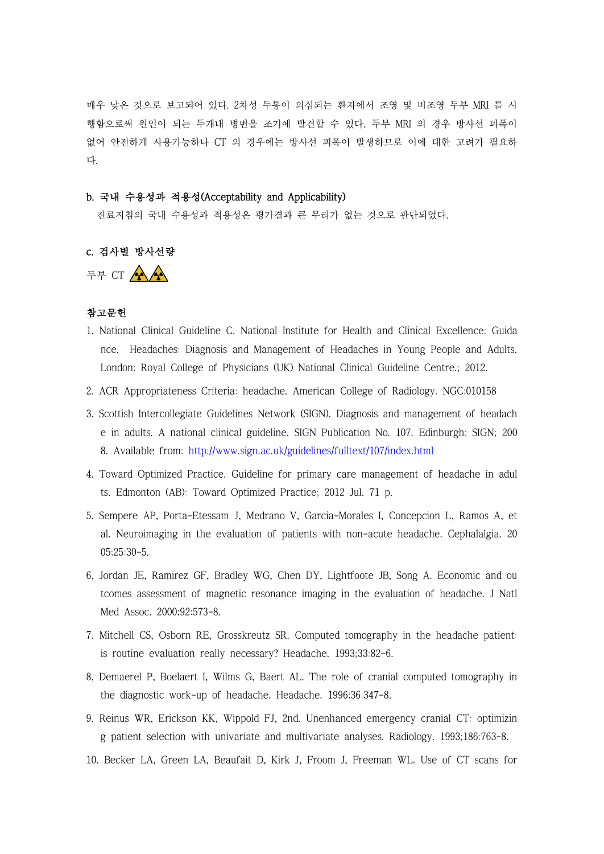매우 낮은 것으로 보고되어 있다. 2차성 두통이 의심되는 환자에서 조영 및 비조영 두부 MRI 를 시 행함으로써 원인이 되는 두개내 병변을 조기에 발견할 수 있다. 두부 MRI 의 경우 방사선 피폭이 없어 안전하게 사용가능하나 CT 의 경우에는 방사선 피폭이 발생하므로 이에 대한 고려가 필요하 다.

## b. 국내 수용성과 적용성(Acceptability and Applicability)

진료지침의 국내 수용성과 적용성은 평가결과 큰 무리가 없는 것으로 판단되었다.

# c. 검사별 방사선량

두부 CT AA

## 참고문헌

- 1. National Clinical Guideline C. National Institute for Health and Clinical Excellence: Guida nce. Headaches: Diagnosis and Management of Headaches in Young People and Adults. London: Royal College of Physicians (UK) National Clinical Guideline Centre.; 2012.
- 2. ACR Appropriateness Criteria: headache. American College of Radiology. NGC:010158
- 3. Scottish Intercollegiate Guidelines Network (SIGN). Diagnosis and management of headach e in adults. A national clinical guideline. SIGN Publication No. 107. Edinburgh: SIGN; 200 8. Available from: <http://www.sign.ac.uk/guidelines/fulltext/107/index.html>
- 4. Toward Optimized Practice. Guideline for primary care management of headache in adul ts. Edmonton (AB): Toward Optimized Practice; 2012 Jul. 71 p.
- 5. Sempere AP, Porta-Etessam J, Medrano V, Garcia-Morales I, Concepcion L, Ramos A, et al. Neuroimaging in the evaluation of patients with non-acute headache. Cephalalgia. 20 05;25:30-5.
- 6, Jordan JE, Ramirez GF, Bradley WG, Chen DY, Lightfoote JB, Song A. Economic and ou tcomes assessment of magnetic resonance imaging in the evaluation of headache. J Natl Med Assoc. 2000;92:573-8.
- 7. Mitchell CS, Osborn RE, Grosskreutz SR. Computed tomography in the headache patient: is routine evaluation really necessary? Headache. 1993;33:82-6.
- 8, Demaerel P, Boelaert I, Wilms G, Baert AL. The role of cranial computed tomography in the diagnostic work-up of headache. Headache. 1996;36:347-8.
- 9. Reinus WR, Erickson KK, Wippold FJ, 2nd. Unenhanced emergency cranial CT: optimizin g patient selection with univariate and multivariate analyses. Radiology. 1993;186:763-8.
- 10. Becker LA, Green LA, Beaufait D, Kirk J, Froom J, Freeman WL. Use of CT scans for